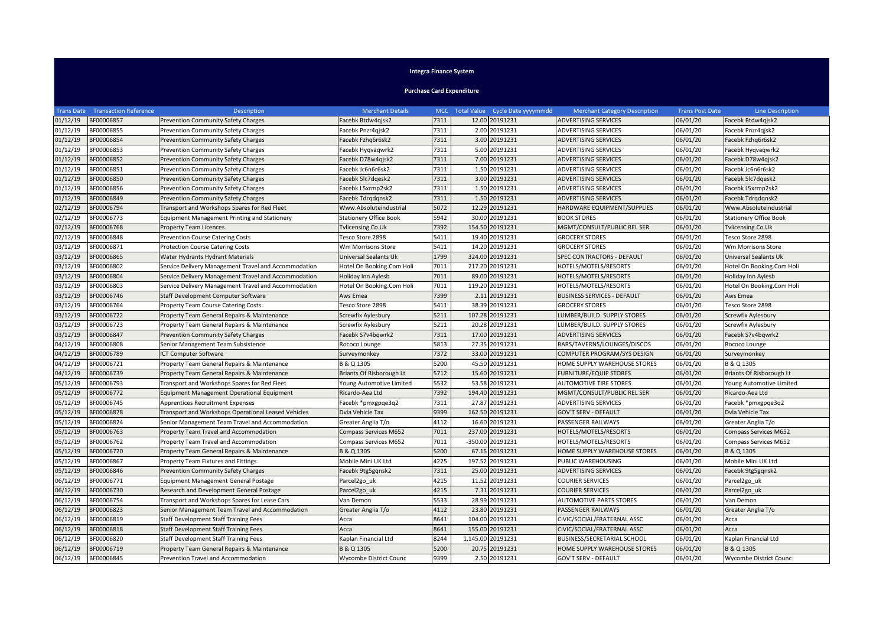## **Integra Finance System**

**Purchase Card Expenditure**

|          | <b>Trans Date Transaction Reference</b> | Description                                          | <b>Merchant Details</b>       |      | MCC Total Value Cycle Date yyyymmdd | <b>Merchant Category Description</b> | <b>Trans Post Date</b> | <b>Line Description</b>       |
|----------|-----------------------------------------|------------------------------------------------------|-------------------------------|------|-------------------------------------|--------------------------------------|------------------------|-------------------------------|
| 01/12/19 | BF00006857                              | Prevention Community Safety Charges                  | Facebk Btdw4gjsk2             | 7311 | 12.00 20191231                      | <b>ADVERTISING SERVICES</b>          | 06/01/20               | Facebk Btdw4qjsk2             |
| 01/12/19 | BF00006855                              | <b>Prevention Community Safety Charges</b>           | Facebk Pnzr4qjsk2             | 7311 | 2.00 20191231                       | <b>ADVERTISING SERVICES</b>          | 06/01/20               | Facebk Pnzr4gjsk2             |
| 01/12/19 | BF00006854                              | <b>Prevention Community Safety Charges</b>           | Facebk Fzhq6r6sk2             | 7311 | 3.00 20191231                       | ADVERTISING SERVICES                 | 06/01/20               | Facebk Fzhq6r6sk2             |
| 01/12/19 | BF00006853                              | Prevention Community Safety Charges                  | Facebk Hygvagwrk2             | 7311 | 5.00 20191231                       | ADVERTISING SERVICES                 | 06/01/20               | Facebk Hygvagwrk2             |
| 01/12/19 | BF00006852                              | <b>Prevention Community Safety Charges</b>           | Facebk D78w4qjsk2             | 7311 | 7.00 20191231                       | <b>ADVERTISING SERVICES</b>          | 06/01/20               | Facebk D78w4qjsk2             |
| 01/12/19 | BF00006851                              | Prevention Community Safety Charges                  | Facebk Jc6n6r6sk2             | 7311 | 1.50 20191231                       | ADVERTISING SERVICES                 | 06/01/20               | Facebk Jc6n6r6sk2             |
| 01/12/19 | BF00006850                              | Prevention Community Safety Charges                  | Facebk 5lc7dgesk2             | 7311 | 3.00 20191231                       | <b>ADVERTISING SERVICES</b>          | 06/01/20               | Facebk 5lc7dgesk2             |
| 01/12/19 | BF00006856                              | Prevention Community Safety Charges                  | Facebk L5xrmp2sk2             | 7311 | 1.50 20191231                       | ADVERTISING SERVICES                 | 06/01/20               | Facebk L5xrmp2sk2             |
| 01/12/19 | BF00006849                              | <b>Prevention Community Safety Charges</b>           | Facebk Tdrqdqnsk2             | 7311 | 1.50 20191231                       | <b>ADVERTISING SERVICES</b>          | 06/01/20               | Facebk Tdrqdqnsk2             |
| 02/12/19 | BF00006794                              | Transport and Workshops Spares for Red Fleet         | Www.Absoluteindustrial        | 5072 | 12.29 20191231                      | HARDWARE EQUIPMENT/SUPPLIES          | 06/01/20               | Www.Absoluteindustrial        |
| 02/12/19 | BF00006773                              | <b>Equipment Management Printing and Stationery</b>  | <b>Stationery Office Book</b> | 5942 | 30.00 20191231                      | <b>BOOK STORES</b>                   | 06/01/20               | <b>Stationery Office Book</b> |
| 02/12/19 | BF00006768                              | <b>Property Team Licences</b>                        | Tvlicensing.Co.Uk             | 7392 | 154.50 20191231                     | MGMT/CONSULT/PUBLIC REL SER          | 06/01/20               | Tvlicensing.Co.Uk             |
| 02/12/19 | BF00006848                              | <b>Prevention Course Catering Costs</b>              | Tesco Store 2898              | 5411 | 19.40 20191231                      | <b>GROCERY STORES</b>                | 06/01/20               | Tesco Store 2898              |
| )3/12/19 | BF00006871                              | <b>Protection Course Catering Costs</b>              | Wm Morrisons Store            | 5411 | 14.20 20191231                      | <b>GROCERY STORES</b>                | 06/01/20               | Wm Morrisons Store            |
| 03/12/19 | BF00006865                              | Water Hydrants Hydrant Materials                     | Universal Sealants Uk         | 1799 | 324.00 20191231                     | SPEC CONTRACTORS - DEFAULT           | 06/01/20               | Universal Sealants Uk         |
| 03/12/19 | BF00006802                              | Service Delivery Management Travel and Accommodation | Hotel On Booking.Com Holi     | 7011 | 217.20 20191231                     | HOTELS/MOTELS/RESORTS                | 06/01/20               | Hotel On Booking.Com Holi     |
| 03/12/19 | BF00006804                              | Service Delivery Management Travel and Accommodation | Holiday Inn Aylesb            | 7011 | 89.00 20191231                      | HOTELS/MOTELS/RESORTS                | 06/01/20               | Holiday Inn Aylesb            |
| 03/12/19 | BF00006803                              | Service Delivery Management Travel and Accommodation | Hotel On Booking.Com Holi     | 7011 | 119.20 20191231                     | HOTELS/MOTELS/RESORTS                | 06/01/20               | Hotel On Booking.Com Holi     |
| 03/12/19 | BF00006746                              | Staff Development Computer Software                  | Aws Emea                      | 7399 | 2.11 20191231                       | BUSINESS SERVICES - DEFAULT          | 06/01/20               | Aws Emea                      |
| 03/12/19 | BF00006764                              | Property Team Course Catering Costs                  | Tesco Store 2898              | 5411 | 38.39 20191231                      | <b>GROCERY STORES</b>                | 06/01/20               | Tesco Store 2898              |
| 03/12/19 | BF00006722                              | Property Team General Repairs & Maintenance          | Screwfix Aylesbury            | 5211 | 107.28 20191231                     | LUMBER/BUILD. SUPPLY STORES          | 06/01/20               | Screwfix Aylesbury            |
| 03/12/19 | BF00006723                              | Property Team General Repairs & Maintenance          | Screwfix Aylesbury            | 5211 | 20.28 20191231                      | LUMBER/BUILD. SUPPLY STORES          | 06/01/20               | Screwfix Aylesbury            |
| 03/12/19 | BF00006847                              | <b>Prevention Community Safety Charges</b>           | Facebk S7v4bgwrk2             | 7311 | 17.00 20191231                      | <b>ADVERTISING SERVICES</b>          | 06/01/20               | Facebk S7v4bgwrk2             |
| 04/12/19 | BF00006808                              | Senior Management Team Subsistence                   | Rococo Lounge                 | 5813 | 27.35 20191231                      | BARS/TAVERNS/LOUNGES/DISCOS          | 06/01/20               | Rococo Lounge                 |
| 04/12/19 | BF00006789                              | ICT Computer Software                                | Surveymonkey                  | 7372 | 33.00 20191231                      | COMPUTER PROGRAM/SYS DESIGN          | 06/01/20               | Surveymonkey                  |
| 04/12/19 | BF00006721                              | Property Team General Repairs & Maintenance          | B & Q 1305                    | 5200 | 45.50 20191231                      | HOME SUPPLY WAREHOUSE STORES         | 06/01/20               | B & Q 1305                    |
| 04/12/19 | BF00006739                              | Property Team General Repairs & Maintenance          | Briants Of Risborough Lt      | 5712 | 15.60 20191231                      | FURNITURE/EQUIP STORES               | 06/01/20               | Briants Of Risborough Lt      |
| 05/12/19 | BF00006793                              | Transport and Workshops Spares for Red Fleet         | Young Automotive Limited      | 5532 | 53.58 20191231                      | <b>AUTOMOTIVE TIRE STORES</b>        | 06/01/20               | Young Automotive Limited      |
| 05/12/19 | BF00006772                              | Equipment Management Operational Equipment           | Ricardo-Aea Ltd               | 7392 | 194.40 20191231                     | MGMT/CONSULT/PUBLIC REL SER          | 06/01/20               | Ricardo-Aea Ltd               |
| 05/12/19 | BF00006745                              | Apprentices Recruitment Expenses                     | Facebk *pmxgpqe3q2            | 7311 | 27.87 20191231                      | ADVERTISING SERVICES                 | 06/01/20               | Facebk *pmxgpqe3q2            |
| 05/12/19 | BF00006878                              | Transport and Workshops Operational Leased Vehicles  | Dvla Vehicle Tax              | 9399 | 162.50 20191231                     | <b>GOV'T SERV - DEFAULT</b>          | 06/01/20               | Dvla Vehicle Tax              |
| 05/12/19 | BF00006824                              | Senior Management Team Travel and Accommodation      | Greater Anglia T/o            | 4112 | 16.60 20191231                      | PASSENGER RAILWAYS                   | 06/01/20               | Greater Anglia T/o            |
| 05/12/19 | BF00006763                              | Property Team Travel and Accommodation               | Compass Services M652         | 7011 | 237.00 20191231                     | HOTELS/MOTELS/RESORTS                | 06/01/20               | Compass Services M652         |
| 05/12/19 | BF00006762                              | Property Team Travel and Accommodation               | Compass Services M652         | 7011 | -350.00 20191231                    | HOTELS/MOTELS/RESORTS                | 06/01/20               | <b>Compass Services M652</b>  |
| 05/12/19 | BF00006720                              | Property Team General Repairs & Maintenance          | B & Q 1305                    | 5200 | 67.15 20191231                      | HOME SUPPLY WAREHOUSE STORES         | 06/01/20               | B & Q 1305                    |
| )5/12/19 | BF00006867                              | Property Team Fixtures and Fittings                  | Mobile Mini UK Ltd            | 4225 | 197.52 20191231                     | PUBLIC WAREHOUSING                   | 06/01/20               | Mobile Mini UK Ltd            |
| 05/12/19 | BF00006846                              | <b>Prevention Community Safety Charges</b>           | Facebk 9tg5gqnsk2             | 7311 | 25.00 20191231                      | <b>ADVERTISING SERVICES</b>          | 06/01/20               | Facebk 9tg5gqnsk2             |
| 06/12/19 | BF00006771                              | <b>Equipment Management General Postage</b>          | Parcel <sub>2gouk</sub>       | 4215 | 11.52 20191231                      | COURIER SERVICES                     | 06/01/20               | Parcel2go uk                  |
| 06/12/19 | BF00006730                              | Research and Development General Postage             | Parcel <sub>2gouk</sub>       | 4215 | 7.31 20191231                       | COURIER SERVICES                     | 06/01/20               | Parcel2go uk                  |
| 06/12/19 | BF00006754                              | Transport and Workshops Spares for Lease Cars        | Van Demon                     | 5533 | 28.99 20191231                      | <b>AUTOMOTIVE PARTS STORES</b>       | 06/01/20               | Van Demon                     |
| 06/12/19 | BF00006823                              | Senior Management Team Travel and Accommodation      | Greater Anglia T/o            | 4112 | 23.80 20191231                      | PASSENGER RAILWAYS                   | 06/01/20               | Greater Anglia T/o            |
| 06/12/19 | BF00006819                              | <b>Staff Development Staff Training Fees</b>         | Acca                          | 8641 | 104.00 20191231                     | CIVIC/SOCIAL/FRATERNAL ASSC          | 06/01/20               | Acca                          |
| 06/12/19 | BF00006818                              | <b>Staff Development Staff Training Fees</b>         | Acca                          | 8641 | 155.00 20191231                     | CIVIC/SOCIAL/FRATERNAL ASSC          | 06/01/20               | Acca                          |
| 06/12/19 | BF00006820                              | <b>Staff Development Staff Training Fees</b>         | Kaplan Financial Ltd          | 8244 | 1.145.00 20191231                   | BUSINESS/SECRETARIAL SCHOOL          | 06/01/20               | Kaplan Financial Ltd          |
| 06/12/19 | BF00006719                              | Property Team General Repairs & Maintenance          | B & Q 1305                    | 5200 | 20.75 20191231                      | HOME SUPPLY WAREHOUSE STORES         | 06/01/20               | B & Q 1305                    |
| 06/12/19 | BF00006845                              | Prevention Travel and Accommodation                  | <b>Wycombe District Counc</b> | 9399 | 2.50 20191231                       | <b>GOV'T SERV - DEFAULT</b>          | 06/01/20               | Wycombe District Counc        |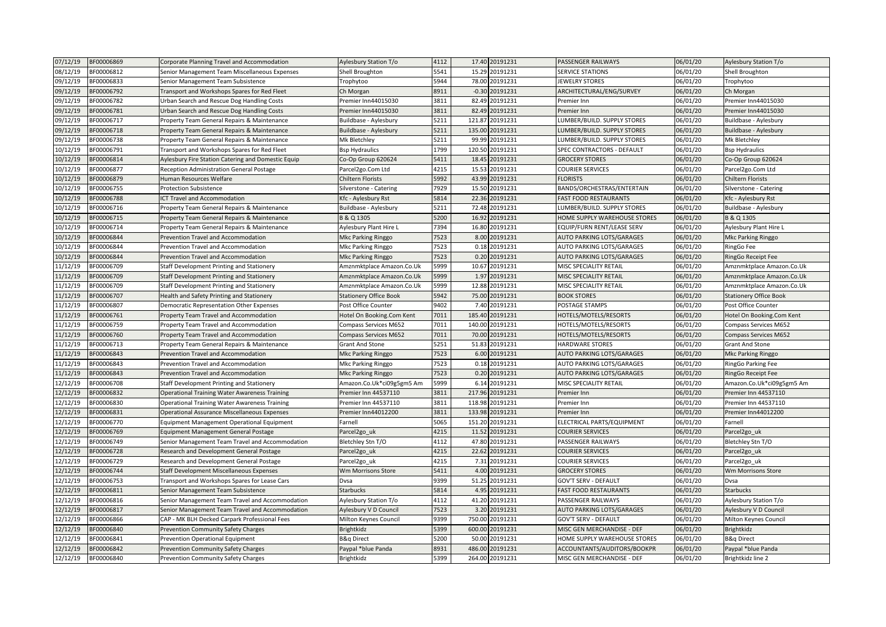| 07/12/19 | BF00006869 | Corporate Planning Travel and Accommodation          | Aylesbury Station T/o         | 4112 | 17.40 20191231   | PASSENGER RAILWAYS               | 06/01/20 | Aylesbury Station T/o         |
|----------|------------|------------------------------------------------------|-------------------------------|------|------------------|----------------------------------|----------|-------------------------------|
| 08/12/19 | BF00006812 | Senior Management Team Miscellaneous Expenses        | Shell Broughton               | 5541 | 15.29 20191231   | <b>SERVICE STATIONS</b>          | 06/01/20 | Shell Broughton               |
| 09/12/19 | BF00006833 | Senior Management Team Subsistence                   | Trophytoo                     | 5944 | 78.00 20191231   | <b>JEWELRY STORES</b>            | 06/01/20 | Trophytoo                     |
| 09/12/19 | BF00006792 | Transport and Workshops Spares for Red Fleet         | Ch Morgan                     | 8911 | $-0.30$ 20191231 | ARCHITECTURAL/ENG/SURVEY         | 06/01/20 | Ch Morgan                     |
| 09/12/19 | BF00006782 | Urban Search and Rescue Dog Handling Costs           | Premier Inn44015030           | 3811 | 82.49 20191231   | Premier Inn                      | 06/01/20 | Premier Inn44015030           |
| 09/12/19 | BF00006781 | Urban Search and Rescue Dog Handling Costs           | Premier Inn44015030           | 3811 | 82.49 20191231   | Premier Inn                      | 06/01/20 | Premier Inn44015030           |
| 09/12/19 | BF00006717 | Property Team General Repairs & Maintenance          | Buildbase - Aylesbury         | 5211 | 121.87 20191231  | LUMBER/BUILD. SUPPLY STORES      | 06/01/20 | Buildbase - Aylesbury         |
| 09/12/19 | BF00006718 | Property Team General Repairs & Maintenance          | Buildbase - Aylesbury         | 5211 | 135.00 20191231  | LUMBER/BUILD. SUPPLY STORES      | 06/01/20 | Buildbase - Aylesbury         |
| 09/12/19 | BF00006738 | Property Team General Repairs & Maintenance          | Mk Bletchley                  | 5211 | 99.99 20191231   | LUMBER/BUILD, SUPPLY STORES      | 06/01/20 | Mk Bletchley                  |
| 10/12/19 | BF00006791 | Transport and Workshops Spares for Red Fleet         | <b>Bsp Hydraulics</b>         | 1799 | 120.50 20191231  | SPEC CONTRACTORS - DEFAULT       | 06/01/20 | <b>Bsp Hydraulics</b>         |
| 10/12/19 | BF00006814 | Aylesbury Fire Station Catering and Domestic Equip   | Co-Op Group 620624            | 5411 | 18.45 20191231   | <b>GROCERY STORES</b>            | 06/01/20 | Co-Op Group 620624            |
| 10/12/19 | BF00006877 | Reception Administration General Postage             | Parcel2go.Com Ltd             | 4215 | 15.53 20191231   | <b>COURIER SERVICES</b>          | 06/01/20 | Parcel2go.Com Ltd             |
| 10/12/19 | BF00006879 | Human Resources Welfare                              | <b>Chiltern Florists</b>      | 5992 | 43.99 20191231   | <b>FLORISTS</b>                  | 06/01/20 | <b>Chiltern Florists</b>      |
| 10/12/19 | BF00006755 | <b>Protection Subsistence</b>                        | Silverstone - Catering        | 7929 | 15.50 20191231   | BANDS/ORCHESTRAS/ENTERTAIN       | 06/01/20 | Silverstone - Catering        |
| 10/12/19 | BF00006788 | ICT Travel and Accommodation                         | Kfc - Aylesbury Rst           | 5814 | 22.36 20191231   | <b>FAST FOOD RESTAURANTS</b>     | 06/01/20 | Kfc - Aylesbury Rst           |
| 10/12/19 | BF00006716 | Property Team General Repairs & Maintenance          | Buildbase - Aylesbury         | 5211 | 72.48 20191231   | LUMBER/BUILD. SUPPLY STORES      | 06/01/20 | Buildbase - Aylesbury         |
| 10/12/19 | BF00006715 | Property Team General Repairs & Maintenance          | B & Q 1305                    | 5200 | 16.92 20191231   | HOME SUPPLY WAREHOUSE STORES     | 06/01/20 | B & Q 1305                    |
| 10/12/19 | BF00006714 | Property Team General Repairs & Maintenance          | Aylesbury Plant Hire L        | 7394 | 16.80 20191231   | EQUIP/FURN RENT/LEASE SERV       | 06/01/20 | Aylesbury Plant Hire L        |
| 10/12/19 | BF00006844 | Prevention Travel and Accommodation                  | Mkc Parking Ringgo            | 7523 | 8.00 20191231    | AUTO PARKING LOTS/GARAGES        | 06/01/20 | Mkc Parking Ringgo            |
| 10/12/19 | BF00006844 | Prevention Travel and Accommodation                  | Mkc Parking Ringgo            | 7523 | 0.18 20191231    | AUTO PARKING LOTS/GARAGES        | 06/01/20 | <b>RingGo Fee</b>             |
| 10/12/19 | BF00006844 | Prevention Travel and Accommodation                  | <b>Mkc Parking Ringgo</b>     | 7523 | 0.20 20191231    | AUTO PARKING LOTS/GARAGES        | 06/01/20 | <b>RingGo Receipt Fee</b>     |
| 11/12/19 | BF00006709 | Staff Development Printing and Stationery            | Amznmktplace Amazon.Co.Uk     | 5999 | 10.67 20191231   | MISC SPECIALITY RETAIL           | 06/01/20 | Amznmktplace Amazon.Co.Uk     |
| 11/12/19 | BF00006709 | Staff Development Printing and Stationery            | Amznmktplace Amazon.Co.Uk     | 5999 | 1.97 20191231    | MISC SPECIALITY RETAIL           | 06/01/20 | Amznmktplace Amazon.Co.Uk     |
| 11/12/19 | BF00006709 | Staff Development Printing and Stationery            | Amznmktplace Amazon.Co.Uk     | 5999 | 12.88 20191231   | MISC SPECIALITY RETAIL           | 06/01/20 | Amznmktplace Amazon.Co.Uk     |
| 11/12/19 | BF00006707 | Health and Safety Printing and Stationery            | <b>Stationery Office Book</b> | 5942 | 75.00 20191231   | <b>BOOK STORES</b>               | 06/01/20 | <b>Stationery Office Book</b> |
| 11/12/19 | BF00006807 | <b>Democratic Representation Other Expenses</b>      | Post Office Counter           | 9402 | 7.40 20191231    | POSTAGE STAMPS                   | 06/01/20 | Post Office Counter           |
| 11/12/19 | BF00006761 | Property Team Travel and Accommodation               | Hotel On Booking.Com Kent     | 7011 | 185.40 20191231  | HOTELS/MOTELS/RESORTS            | 06/01/20 | Hotel On Booking.Com Kent     |
| 11/12/19 | BF00006759 | Property Team Travel and Accommodation               | Compass Services M652         | 7011 | 140.00 20191231  | HOTELS/MOTELS/RESORTS            | 06/01/20 | Compass Services M652         |
| 11/12/19 | BF00006760 | Property Team Travel and Accommodation               | Compass Services M652         | 7011 | 70.00 20191231   | HOTELS/MOTELS/RESORTS            | 06/01/20 | Compass Services M652         |
| 11/12/19 | BF00006713 | Property Team General Repairs & Maintenance          | <b>Grant And Stone</b>        | 5251 | 51.83 20191231   | <b>HARDWARE STORES</b>           | 06/01/20 | <b>Grant And Stone</b>        |
| 11/12/19 | BF00006843 | Prevention Travel and Accommodation                  | Mkc Parking Ringgo            | 7523 | 6.00 20191231    | AUTO PARKING LOTS/GARAGES        | 06/01/20 | <b>Mkc Parking Ringgo</b>     |
| 11/12/19 | BF00006843 | Prevention Travel and Accommodation                  | Mkc Parking Ringgo            | 7523 | 0.18 20191231    | AUTO PARKING LOTS/GARAGES        | 06/01/20 | RingGo Parking Fee            |
| 11/12/19 | BF00006843 | Prevention Travel and Accommodation                  | <b>Mkc Parking Ringgo</b>     | 7523 | 0.20 20191231    | AUTO PARKING LOTS/GARAGES        | 06/01/20 | RingGo Receipt Fee            |
| 12/12/19 | BF00006708 | Staff Development Printing and Stationery            | Amazon.Co.Uk*ci09g5gm5 Am     | 5999 | 6.14 20191231    | MISC SPECIALITY RETAIL           | 06/01/20 | Amazon.Co.Uk*ci09g5gm5 Am     |
| 12/12/19 | BF00006832 | <b>Operational Training Water Awareness Training</b> | Premier Inn 44537110          | 3811 | 217.96 20191231  | Premier Inn                      | 06/01/20 | Premier Inn 44537110          |
| 12/12/19 | BF00006830 | <b>Operational Training Water Awareness Training</b> | Premier Inn 44537110          | 3811 | 118.98 20191231  | Premier Inn                      | 06/01/20 | Premier Inn 44537110          |
| 12/12/19 | BF00006831 | <b>Operational Assurance Miscellaneous Expenses</b>  | Premier Inn44012200           | 3811 | 133.98 20191231  | Premier Inn                      | 06/01/20 | Premier Inn44012200           |
| 12/12/19 | BF00006770 | <b>Equipment Management Operational Equipment</b>    | Farnell                       | 5065 | 151.20 20191231  | ELECTRICAL PARTS/EQUIPMENT       | 06/01/20 | Farnell                       |
| 12/12/19 | BF00006769 | <b>Equipment Management General Postage</b>          | Parcel2go_uk                  | 4215 | 11.52 20191231   | <b>COURIER SERVICES</b>          | 06/01/20 | Parcel2go_uk                  |
| 12/12/19 | BF00006749 | Senior Management Team Travel and Accommodation      | Bletchley Stn T/O             | 4112 | 47.80 20191231   | PASSENGER RAILWAYS               | 06/01/20 | Bletchley Stn T/O             |
| 12/12/19 | BF00006728 | Research and Development General Postage             | Parcel2go uk                  | 4215 | 22.62 20191231   | <b>COURIER SERVICES</b>          | 06/01/20 | Parcel2go uk                  |
| 12/12/19 | BF00006729 | Research and Development General Postage             | Parcel2go uk                  | 4215 | 7.31 20191231    | <b>COURIER SERVICES</b>          | 06/01/20 | Parcel2go uk                  |
| 12/12/19 | BF00006744 | Staff Development Miscellaneous Expenses             | Wm Morrisons Store            | 5411 | 4.00 20191231    | <b>GROCERY STORES</b>            | 06/01/20 | Wm Morrisons Store            |
| 12/12/19 | BF00006753 | Transport and Workshops Spares for Lease Cars        | Dvsa                          | 9399 | 51.25 20191231   | GOV'T SERV - DEFAULT             | 06/01/20 | Dvsa                          |
| 12/12/19 | BF00006811 | Senior Management Team Subsistence                   | Starbucks                     | 5814 | 4.95 20191231    | <b>FAST FOOD RESTAURANTS</b>     | 06/01/20 | <b>Starbucks</b>              |
| 12/12/19 | BF00006816 | Senior Management Team Travel and Accommodation      | Aylesbury Station T/o         | 4112 | 41.20 20191231   | PASSENGER RAILWAYS               | 06/01/20 | Aylesbury Station T/o         |
| 12/12/19 | BF00006817 | Senior Management Team Travel and Accommodation      | Aylesbury V D Council         | 7523 | 3.20 20191231    | <b>AUTO PARKING LOTS/GARAGES</b> | 06/01/20 | Aylesbury V D Council         |
| 12/12/19 | BF00006866 | CAP - MK BLH Decked Carpark Professional Fees        | Milton Keynes Council         | 9399 | 750.00 20191231  | <b>GOV'T SERV - DEFAULT</b>      | 06/01/20 | Milton Keynes Council         |
| 12/12/19 | BF00006840 | Prevention Community Safety Charges                  | Brightkidz                    | 5399 | 600.00 20191231  | MISC GEN MERCHANDISE - DEF       | 06/01/20 | <b>Brightkidz</b>             |
| 12/12/19 | BF00006841 | Prevention Operational Equipment                     | <b>B&amp;g Direct</b>         | 5200 | 50.00 20191231   | HOME SUPPLY WAREHOUSE STORES     | 06/01/20 | <b>B&amp;q Direct</b>         |
| 12/12/19 | BF00006842 | <b>Prevention Community Safety Charges</b>           | Paypal *blue Panda            | 8931 | 486.00 20191231  | ACCOUNTANTS/AUDITORS/BOOKPR      | 06/01/20 | Paypal *blue Panda            |
| 12/12/19 | BF00006840 | Prevention Community Safety Charges                  | Brightkidz                    | 5399 | 264.00 20191231  | MISC GEN MERCHANDISE - DEF       | 06/01/20 | Brightkidz line 2             |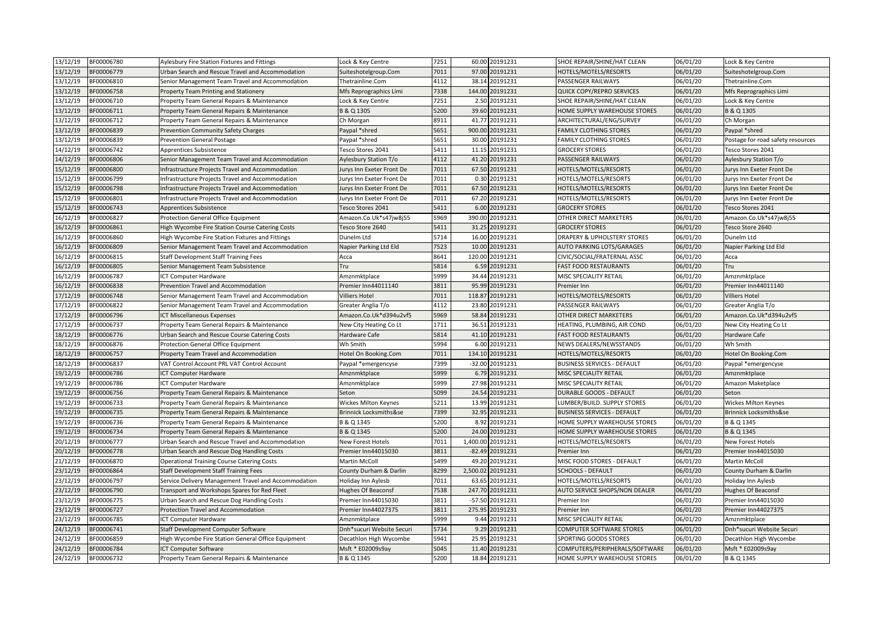| 13/12/19 | BF00006780 | Aylesbury Fire Station Fixtures and Fittings         | Lock & Key Centre         | 7251 | 60.00 20191231    | SHOE REPAIR/SHINE/HAT CLEAN        | 06/01/20 | Lock & Key Centre                 |
|----------|------------|------------------------------------------------------|---------------------------|------|-------------------|------------------------------------|----------|-----------------------------------|
| 13/12/19 | BF00006779 | Urban Search and Rescue Travel and Accommodation     | Suiteshotelgroup.Com      | 7011 | 97.00 20191231    | HOTELS/MOTELS/RESORTS              | 06/01/20 | Suiteshotelgroup.Com              |
| 13/12/19 | BF00006810 | Senior Management Team Travel and Accommodation      | Thetrainline.Com          | 4112 | 38.14 20191231    | PASSENGER RAILWAYS                 | 06/01/20 | Thetrainline.Com                  |
| 13/12/19 | BF00006758 | Property Team Printing and Stationery                | Mfs Reprographics Limi    | 7338 | 144.00 20191231   | <b>QUICK COPY/REPRO SERVICES</b>   | 06/01/20 | Mfs Reprographics Limi            |
| 13/12/19 | BF00006710 | Property Team General Repairs & Maintenance          | Lock & Key Centre         | 7251 | 2.50 20191231     | SHOE REPAIR/SHINE/HAT CLEAN        | 06/01/20 | Lock & Key Centre                 |
| 13/12/19 | BF00006711 | roperty Team General Repairs & Maintenance           | B & Q 1305                | 5200 | 39.60 20191231    | HOME SUPPLY WAREHOUSE STORES       | 06/01/20 | B & Q 1305                        |
| 13/12/19 | BF00006712 | Property Team General Repairs & Maintenance          | Ch Morgan                 | 8911 | 41.77 20191231    | ARCHITECTURAL/ENG/SURVEY           | 06/01/20 | Ch Morgan                         |
| 13/12/19 | BF00006839 | Prevention Community Safety Charges                  | Paypal *shred             | 5651 | 900.00 20191231   | <b>FAMILY CLOTHING STORES</b>      | 06/01/20 | Paypal *shred                     |
| 13/12/19 | BF00006839 | Prevention General Postage                           | Paypal *shred             | 5651 | 30.00 20191231    | <b>FAMILY CLOTHING STORES</b>      | 06/01/20 | Postage for road safety resources |
| 14/12/19 | BF00006742 | Apprentices Subsistence                              | Tesco Stores 2041         | 5411 | 11.15 20191231    | <b>GROCERY STORES</b>              | 06/01/20 | Tesco Stores 2041                 |
| 14/12/19 | BF00006806 | Senior Management Team Travel and Accommodation      | Aylesbury Station T/o     | 4112 | 41.20 20191231    | PASSENGER RAILWAYS                 | 06/01/20 | Aylesbury Station T/o             |
| 15/12/19 | BF00006800 | Infrastructure Projects Travel and Accommodation     | Jurys Inn Exeter Front De | 7011 | 67.50 20191231    | HOTELS/MOTELS/RESORTS              | 06/01/20 | Jurys Inn Exeter Front De         |
| 15/12/19 | BF00006799 | nfrastructure Projects Travel and Accommodation      | Jurys Inn Exeter Front De | 7011 | 0.30 20191231     | HOTELS/MOTELS/RESORTS              | 06/01/20 | Jurys Inn Exeter Front De         |
| 15/12/19 | BF00006798 | nfrastructure Projects Travel and Accommodation      | Jurys Inn Exeter Front De | 7011 | 67.50 20191231    | HOTELS/MOTELS/RESORTS              | 06/01/20 | Jurys Inn Exeter Front De         |
| 15/12/19 | BF00006801 | nfrastructure Projects Travel and Accommodation      | Jurys Inn Exeter Front De | 7011 | 67.20 20191231    | HOTELS/MOTELS/RESORTS              | 06/01/20 | Jurys Inn Exeter Front De         |
| 15/12/19 | BF00006743 | Apprentices Subsistence                              | Tesco Stores 2041         | 5411 | 6.00 20191231     | <b>GROCERY STORES</b>              | 06/01/20 | Tesco Stores 2041                 |
| 16/12/19 | BF00006827 | Protection General Office Equipment                  | Amazon.Co.Uk*s47jw8j55    | 5969 | 390.00 20191231   | OTHER DIRECT MARKETERS             | 06/01/20 | Amazon.Co.Uk*s47jw8j55            |
| 16/12/19 | BF00006861 | High Wycombe Fire Station Course Catering Costs      | Tesco Store 2640          | 5411 | 31.25 20191231    | <b>GROCERY STORES</b>              | 06/01/20 | Tesco Store 2640                  |
| 16/12/19 | BF00006860 | High Wycombe Fire Station Fixtures and Fittings      | Dunelm Ltd                | 5714 | 16.00 20191231    | DRAPERY & UPHOLSTERY STORES        | 06/01/20 | Dunelm Ltd                        |
| 16/12/19 | BF00006809 | Senior Management Team Travel and Accommodation      | Napier Parking Ltd Eld    | 7523 | 10.00 20191231    | <b>AUTO PARKING LOTS/GARAGES</b>   | 06/01/20 | Napier Parking Ltd Eld            |
| 16/12/19 | BF00006815 | Staff Development Staff Training Fees                | Acca                      | 8641 | 120.00 20191231   | CIVIC/SOCIAL/FRATERNAL ASSC        | 06/01/20 | Acca                              |
| 16/12/19 | BF00006805 | Senior Management Team Subsistence                   | Tru                       | 5814 | 6.59 20191231     | <b>FAST FOOD RESTAURANTS</b>       | 06/01/20 | Tru                               |
| 16/12/19 | BF00006787 | ICT Computer Hardware                                | Amznmktplace              | 5999 | 34.44 20191231    | MISC SPECIALITY RETAIL             | 06/01/20 | Amznmktplace                      |
| 16/12/19 | BF00006838 | Prevention Travel and Accommodation                  | Premier Inn44011140       | 3811 | 95.99 20191231    | Premier Inn                        | 06/01/20 | Premier Inn44011140               |
| 17/12/19 | BF00006748 | Senior Management Team Travel and Accommodation      | Villiers Hotel            | 7011 | 118.87 20191231   | HOTELS/MOTELS/RESORTS              | 06/01/20 | <b>Villiers Hotel</b>             |
| 17/12/19 | BF00006822 | Senior Management Team Travel and Accommodation      | Greater Anglia T/o        | 4112 | 23.80 20191231    | PASSENGER RAILWAYS                 | 06/01/20 | Greater Anglia T/o                |
| 17/12/19 | BF00006796 | <b>CT Miscellaneous Expenses</b>                     | Amazon.Co.Uk*d394u2vf5    | 5969 | 58.84 20191231    | OTHER DIRECT MARKETERS             | 06/01/20 | Amazon.Co.Uk*d394u2vf5            |
| 17/12/19 | BF00006737 | Property Team General Repairs & Maintenance          | New City Heating Co Lt    | 1711 | 36.51 20191231    | HEATING, PLUMBING, AIR COND        | 06/01/20 | New City Heating Co Lt            |
| 18/12/19 | BF00006776 | Jrban Search and Rescue Course Catering Costs        | Hardware Cafe             | 5814 | 41.10 20191231    | <b>FAST FOOD RESTAURANTS</b>       | 06/01/20 | Hardware Cafe                     |
| 18/12/19 | BF00006876 | Protection General Office Equipment                  | Wh Smith                  | 5994 | 6.00 20191231     | NEWS DEALERS/NEWSSTANDS            | 06/01/20 | Wh Smith                          |
| 18/12/19 | BF00006757 | Property Team Travel and Accommodation               | Hotel On Booking.Com      | 7011 | 134.10 20191231   | HOTELS/MOTELS/RESORTS              | 06/01/20 | Hotel On Booking.Com              |
| 18/12/19 | BF00006837 | VAT Control Account PRL VAT Control Account          | Paypal *emergencyse       | 7399 | -32.00 20191231   | <b>BUSINESS SERVICES - DEFAULT</b> | 06/01/20 | Paypal *emergencyse               |
| 19/12/19 | BF00006786 | <b>ICT Computer Hardware</b>                         | Amznmktplace              | 5999 | 6.79 20191231     | MISC SPECIALITY RETAIL             | 06/01/20 | Amznmktplace                      |
| 19/12/19 | BF00006786 | CT Computer Hardware                                 | Amznmktplace              | 5999 | 27.98 20191231    | MISC SPECIALITY RETAIL             | 06/01/20 | Amazon Maketplace                 |
| 19/12/19 | BF00006756 | Property Team General Repairs & Maintenance          | Seton                     | 5099 | 24.54 20191231    | <b>DURABLE GOODS - DEFAULT</b>     | 06/01/20 | Seton                             |
| 19/12/19 | BF00006733 | Property Team General Repairs & Maintenance          | Wickes Milton Keynes      | 5211 | 13.99 20191231    | LUMBER/BUILD. SUPPLY STORES        | 06/01/20 | <b>Wickes Milton Keynes</b>       |
| 19/12/19 | BF00006735 | Property Team General Repairs & Maintenance          | Brinnick Locksmiths&se    | 7399 | 32.95 20191231    | <b>BUSINESS SERVICES - DEFAULT</b> | 06/01/20 | <b>Brinnick Locksmiths&amp;se</b> |
| 19/12/19 | BF00006736 | Property Team General Repairs & Maintenance          | B & Q 1345                | 5200 | 8.92 20191231     | HOME SUPPLY WAREHOUSE STORES       | 06/01/20 | B & Q 1345                        |
| 19/12/19 | BF00006734 | Property Team General Repairs & Maintenance          | B & Q 1345                | 5200 | 24.00 20191231    | HOME SUPPLY WAREHOUSE STORES       | 06/01/20 | B & Q 1345                        |
| 20/12/19 | BF00006777 | Urban Search and Rescue Travel and Accommodation     | New Forest Hotels         | 7011 | 1.400.00 20191231 | <b>HOTELS/MOTELS/RESORTS</b>       | 06/01/20 | New Forest Hotels                 |
| 20/12/19 | BF00006778 | Urban Search and Rescue Dog Handling Costs           | Premier Inn44015030       | 3811 | -82.49 20191231   | Premier Inn                        | 06/01/20 | Premier Inn44015030               |
| 21/12/19 | BF00006870 | <b>Operational Training Course Catering Costs</b>    | Martin McColl             | 5499 | 49.20 20191231    | MISC FOOD STORES - DEFAULT         | 06/01/20 | <b>Martin McColl</b>              |
| 23/12/19 | BF00006864 | Staff Development Staff Training Fees                | County Durham & Darlin    | 8299 | 2,500.02 20191231 | <b>SCHOOLS - DEFAULT</b>           | 06/01/20 | County Durham & Darlin            |
| 23/12/19 | BF00006797 | Service Delivery Management Travel and Accommodation | Holiday Inn Aylesb        | 7011 | 63.65 20191231    | HOTELS/MOTELS/RESORTS              | 06/01/20 | Holiday Inn Aylesb                |
| 23/12/19 | BF00006790 | Fransport and Workshops Spares for Red Fleet         | <b>Hughes Of Beaconsf</b> | 7538 | 247.70 20191231   | AUTO SERVICE SHOPS/NON DEALER      | 06/01/20 | <b>Hughes Of Beaconsf</b>         |
| 23/12/19 | BF00006775 | Urban Search and Rescue Dog Handling Costs           | Premier Inn44015030       | 3811 | -57.50 20191231   | Premier Inn                        | 06/01/20 | Premier Inn44015030               |
| 23/12/19 | BF00006727 | Protection Travel and Accommodation                  | Premier Inn44027375       | 3811 | 275.95 20191231   | Premier Inn                        | 06/01/20 | Premier Inn44027375               |
| 23/12/19 | BF00006785 | ICT Computer Hardware                                | Amznmktplace              | 5999 | 9.44 20191231     | MISC SPECIALITY RETAIL             | 06/01/20 | Amznmktplace                      |
| 24/12/19 | BF00006741 | Staff Development Computer Software                  | Dnh*sucuri Website Securi | 5734 | 9.29 20191231     | <b>COMPUTER SOFTWARE STORES</b>    | 06/01/20 | Dnh*sucuri Website Securi         |
| 24/12/19 | BF00006859 | High Wycombe Fire Station General Office Equipment   | Decathlon High Wycombe    | 5941 | 25.95 20191231    | SPORTING GOODS STORES              | 06/01/20 | Decathlon High Wycombe            |
| 24/12/19 | BF00006784 | <b>CT Computer Software</b>                          | Msft * E02009s9ay         | 5045 | 11.40 20191231    | COMPUTERS/PERIPHERALS/SOFTWARE     | 06/01/20 | Msft * E02009s9ay                 |
| 24/12/19 | BF00006732 | Property Team General Repairs & Maintenance          | B & Q 1345                | 5200 | 18.84 20191231    | HOME SUPPLY WAREHOUSE STORES       | 06/01/20 | B & Q 1345                        |